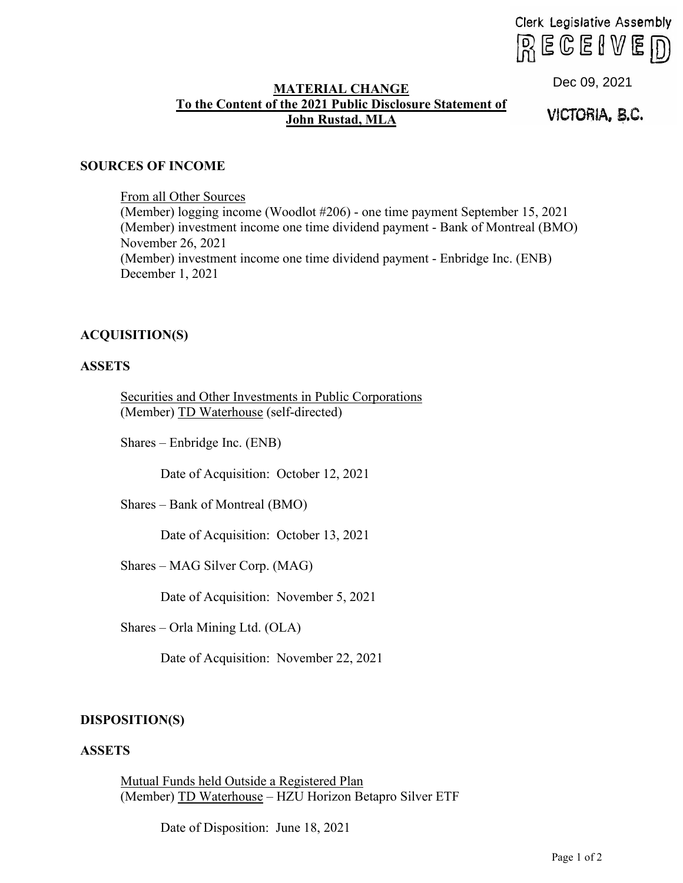Clerk Legislative Assembly  $RECEIVE$  $D$ 

# **MATERIAL CHANGE To the Content of the 2021 Public Disclosure Statement of John Rustad, MLA**

Dec 09, 2021<br>**VICTORIA, B.C.** 

## **SOURCES OF INCOME**

From all Other Sources

(Member) logging income (Woodlot #206) - one time payment September 15, 2021 (Member) investment income one time dividend payment - Bank of Montreal (BMO) November 26, 2021 (Member) investment income one time dividend payment - Enbridge Inc. (ENB) December 1, 2021

# **ACQUISITION(S)**

#### **ASSETS**

Securities and Other Investments in Public Corporations (Member) TD Waterhouse (self-directed)

Shares – Enbridge Inc. (ENB)

Date of Acquisition: October 12, 2021

Shares – Bank of Montreal (BMO)

Date of Acquisition: October 13, 2021

Shares – MAG Silver Corp. (MAG)

Date of Acquisition: November 5, 2021

Shares – Orla Mining Ltd. (OLA)

Date of Acquisition: November 22, 2021

# **DISPOSITION(S)**

# **ASSETS**

Mutual Funds held Outside a Registered Plan (Member) TD Waterhouse – HZU Horizon Betapro Silver ETF

Date of Disposition: June 18, 2021